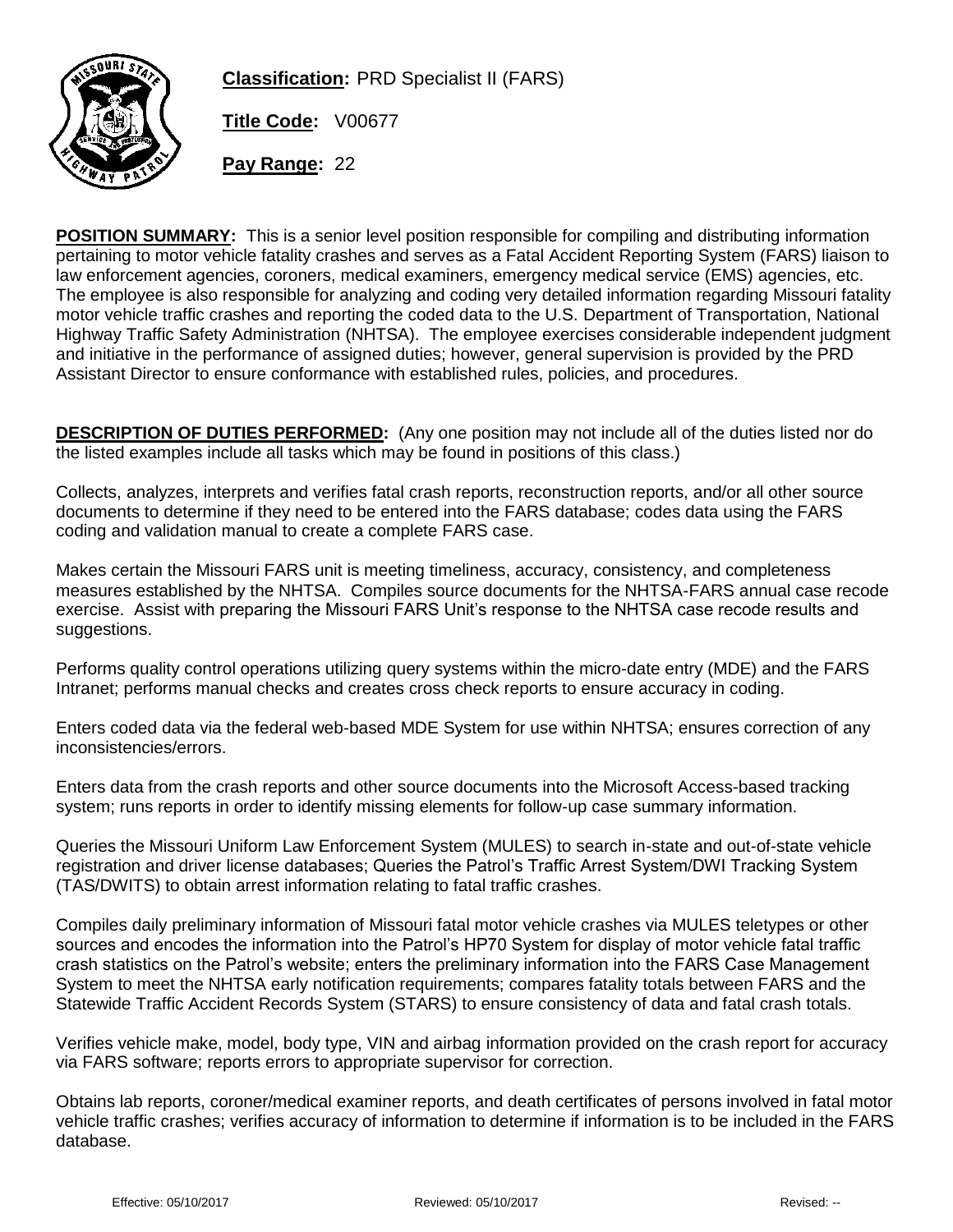

**Classification:** PRD Specialist II (FARS)

**Title Code:** V00677

**Pay Range:** 22

**POSITION SUMMARY:** This is a senior level position responsible for compiling and distributing information pertaining to motor vehicle fatality crashes and serves as a Fatal Accident Reporting System (FARS) liaison to law enforcement agencies, coroners, medical examiners, emergency medical service (EMS) agencies, etc. The employee is also responsible for analyzing and coding very detailed information regarding Missouri fatality motor vehicle traffic crashes and reporting the coded data to the U.S. Department of Transportation, National Highway Traffic Safety Administration (NHTSA). The employee exercises considerable independent judgment and initiative in the performance of assigned duties; however, general supervision is provided by the PRD Assistant Director to ensure conformance with established rules, policies, and procedures.

**DESCRIPTION OF DUTIES PERFORMED:** (Any one position may not include all of the duties listed nor do the listed examples include all tasks which may be found in positions of this class.)

Collects, analyzes, interprets and verifies fatal crash reports, reconstruction reports, and/or all other source documents to determine if they need to be entered into the FARS database; codes data using the FARS coding and validation manual to create a complete FARS case.

Makes certain the Missouri FARS unit is meeting timeliness, accuracy, consistency, and completeness measures established by the NHTSA. Compiles source documents for the NHTSA-FARS annual case recode exercise. Assist with preparing the Missouri FARS Unit's response to the NHTSA case recode results and suggestions.

Performs quality control operations utilizing query systems within the micro-date entry (MDE) and the FARS Intranet; performs manual checks and creates cross check reports to ensure accuracy in coding.

Enters coded data via the federal web-based MDE System for use within NHTSA; ensures correction of any inconsistencies/errors.

Enters data from the crash reports and other source documents into the Microsoft Access-based tracking system; runs reports in order to identify missing elements for follow-up case summary information.

Queries the Missouri Uniform Law Enforcement System (MULES) to search in-state and out-of-state vehicle registration and driver license databases; Queries the Patrol's Traffic Arrest System/DWI Tracking System (TAS/DWITS) to obtain arrest information relating to fatal traffic crashes.

Compiles daily preliminary information of Missouri fatal motor vehicle crashes via MULES teletypes or other sources and encodes the information into the Patrol's HP70 System for display of motor vehicle fatal traffic crash statistics on the Patrol's website; enters the preliminary information into the FARS Case Management System to meet the NHTSA early notification requirements; compares fatality totals between FARS and the Statewide Traffic Accident Records System (STARS) to ensure consistency of data and fatal crash totals.

Verifies vehicle make, model, body type, VIN and airbag information provided on the crash report for accuracy via FARS software; reports errors to appropriate supervisor for correction.

Obtains lab reports, coroner/medical examiner reports, and death certificates of persons involved in fatal motor vehicle traffic crashes; verifies accuracy of information to determine if information is to be included in the FARS database.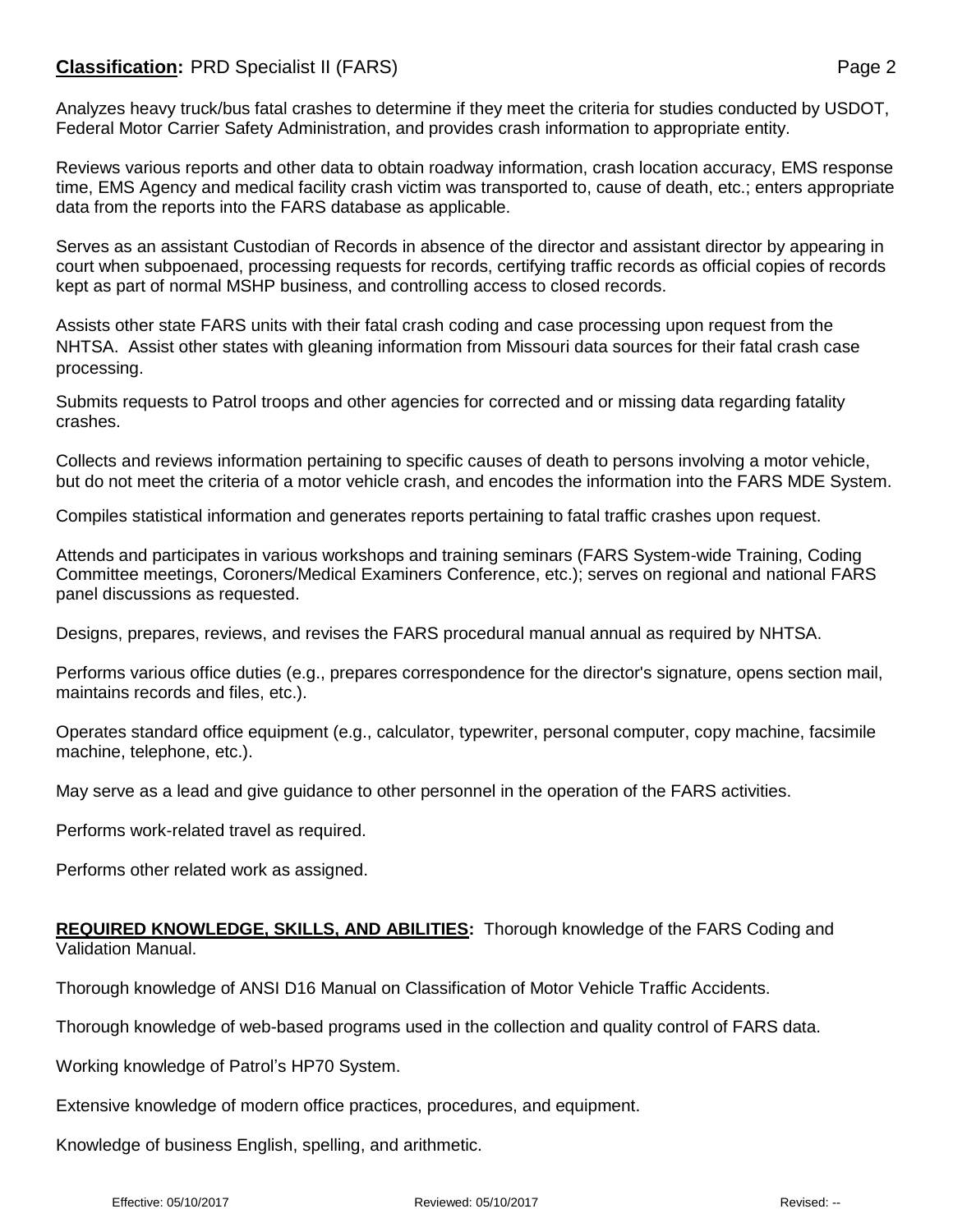## **Classification:** PRD Specialist II (FARS) **Page 2** Page 2

Reviews various reports and other data to obtain roadway information, crash location accuracy, EMS response time, EMS Agency and medical facility crash victim was transported to, cause of death, etc.; enters appropriate data from the reports into the FARS database as applicable.

Serves as an assistant Custodian of Records in absence of the director and assistant director by appearing in court when subpoenaed, processing requests for records, certifying traffic records as official copies of records kept as part of normal MSHP business, and controlling access to closed records.

Assists other state FARS units with their fatal crash coding and case processing upon request from the NHTSA. Assist other states with gleaning information from Missouri data sources for their fatal crash case processing.

Submits requests to Patrol troops and other agencies for corrected and or missing data regarding fatality crashes.

Collects and reviews information pertaining to specific causes of death to persons involving a motor vehicle, but do not meet the criteria of a motor vehicle crash, and encodes the information into the FARS MDE System.

Compiles statistical information and generates reports pertaining to fatal traffic crashes upon request.

Attends and participates in various workshops and training seminars (FARS System-wide Training, Coding Committee meetings, Coroners/Medical Examiners Conference, etc.); serves on regional and national FARS panel discussions as requested.

Designs, prepares, reviews, and revises the FARS procedural manual annual as required by NHTSA.

Performs various office duties (e.g., prepares correspondence for the director's signature, opens section mail, maintains records and files, etc.).

Operates standard office equipment (e.g., calculator, typewriter, personal computer, copy machine, facsimile machine, telephone, etc.).

May serve as a lead and give guidance to other personnel in the operation of the FARS activities.

Performs work-related travel as required.

Performs other related work as assigned.

## **REQUIRED KNOWLEDGE, SKILLS, AND ABILITIES:** Thorough knowledge of the FARS Coding and Validation Manual.

Thorough knowledge of ANSI D16 Manual on Classification of Motor Vehicle Traffic Accidents.

Thorough knowledge of web-based programs used in the collection and quality control of FARS data.

Working knowledge of Patrol's HP70 System.

Extensive knowledge of modern office practices, procedures, and equipment.

Knowledge of business English, spelling, and arithmetic.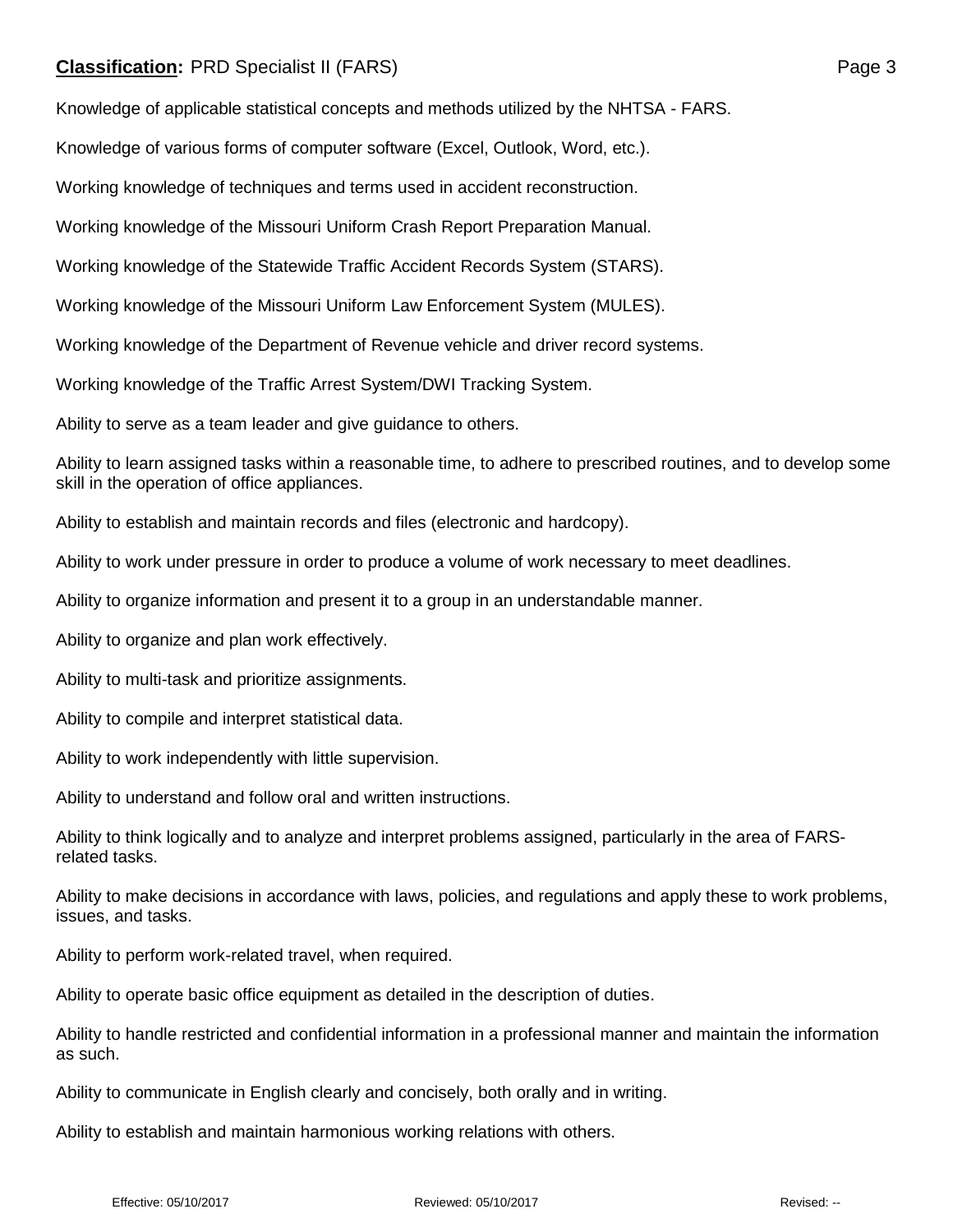## **Classification:** PRD Specialist II (FARS) **Page 3** Page 3

Knowledge of applicable statistical concepts and methods utilized by the NHTSA - FARS.

Knowledge of various forms of computer software (Excel, Outlook, Word, etc.).

Working knowledge of techniques and terms used in accident reconstruction.

Working knowledge of the Missouri Uniform Crash Report Preparation Manual.

Working knowledge of the Statewide Traffic Accident Records System (STARS).

Working knowledge of the Missouri Uniform Law Enforcement System (MULES).

Working knowledge of the Department of Revenue vehicle and driver record systems.

Working knowledge of the Traffic Arrest System/DWI Tracking System.

Ability to serve as a team leader and give guidance to others.

Ability to learn assigned tasks within a reasonable time, to adhere to prescribed routines, and to develop some skill in the operation of office appliances.

Ability to establish and maintain records and files (electronic and hardcopy).

Ability to work under pressure in order to produce a volume of work necessary to meet deadlines.

Ability to organize information and present it to a group in an understandable manner.

Ability to organize and plan work effectively.

Ability to multi-task and prioritize assignments.

Ability to compile and interpret statistical data.

Ability to work independently with little supervision.

Ability to understand and follow oral and written instructions.

Ability to think logically and to analyze and interpret problems assigned, particularly in the area of FARSrelated tasks.

Ability to make decisions in accordance with laws, policies, and regulations and apply these to work problems, issues, and tasks.

Ability to perform work-related travel, when required.

Ability to operate basic office equipment as detailed in the description of duties.

Ability to handle restricted and confidential information in a professional manner and maintain the information as such.

Ability to communicate in English clearly and concisely, both orally and in writing.

Ability to establish and maintain harmonious working relations with others.